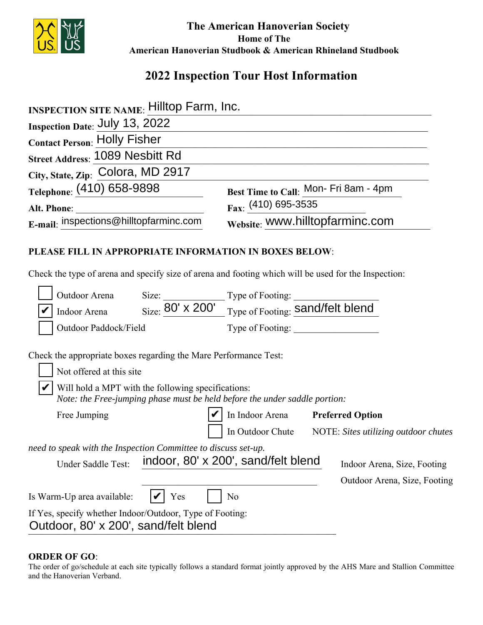

 **The American Hanoverian Society Home of The American Hanoverian Studbook & American Rhineland Studbook**

# **2022 Inspection Tour Host Information**

| <b>INSPECTION SITE NAME: Hilltop Farm, Inc.</b>        |                                                                                                      |  |
|--------------------------------------------------------|------------------------------------------------------------------------------------------------------|--|
| Inspection Date: July 13, 2022                         |                                                                                                      |  |
| <b>Contact Person: Holly Fisher</b>                    |                                                                                                      |  |
| Street Address: 1089 Nesbitt Rd                        |                                                                                                      |  |
| City, State, Zip: Colora, MD 2917                      |                                                                                                      |  |
| Telephone: (410) 658-9898                              | Best Time to Call: Mon- Fri 8am - 4pm                                                                |  |
| Alt. Phone:                                            | $_{\text{Fax}:}$ (410) 695-3535                                                                      |  |
| E-mail: inspections@hilltopfarminc.com                 | Website: WWW.hilltopfarminc.com                                                                      |  |
| PLEASE FILL IN APPROPRIATE INFORMATION IN BOXES BELOW: |                                                                                                      |  |
|                                                        | Check the type of arena and specify size of arena and footing which will be used for the Inspection: |  |

|                                                                | Outdoor Arena                        | Size:                                                                                                                            | Type of Footing:                    |                                      |                              |  |
|----------------------------------------------------------------|--------------------------------------|----------------------------------------------------------------------------------------------------------------------------------|-------------------------------------|--------------------------------------|------------------------------|--|
|                                                                | Indoor Arena                         | Size: $80' \times 200'$                                                                                                          | Type of Footing: Sand/felt blend    |                                      |                              |  |
|                                                                | Outdoor Paddock/Field                |                                                                                                                                  | Type of Footing:                    |                                      |                              |  |
|                                                                |                                      | Check the appropriate boxes regarding the Mare Performance Test:                                                                 |                                     |                                      |                              |  |
|                                                                | Not offered at this site             |                                                                                                                                  |                                     |                                      |                              |  |
|                                                                |                                      | Will hold a MPT with the following specifications:<br>Note: the Free-jumping phase must be held before the under saddle portion: |                                     |                                      |                              |  |
|                                                                | Free Jumping                         |                                                                                                                                  | In Indoor Arena                     | <b>Preferred Option</b>              |                              |  |
|                                                                |                                      |                                                                                                                                  | In Outdoor Chute                    | NOTE: Sites utilizing outdoor chutes |                              |  |
| need to speak with the Inspection Committee to discuss set-up. |                                      |                                                                                                                                  |                                     |                                      |                              |  |
|                                                                | Under Saddle Test:                   |                                                                                                                                  | indoor, 80' x 200', sand/felt blend |                                      | Indoor Arena, Size, Footing  |  |
|                                                                |                                      |                                                                                                                                  |                                     |                                      | Outdoor Arena, Size, Footing |  |
|                                                                | Is Warm-Up area available:           | Yes                                                                                                                              | No                                  |                                      |                              |  |
|                                                                | Outdoor, 80' x 200', sand/felt blend | If Yes, specify whether Indoor/Outdoor, Type of Footing:                                                                         |                                     |                                      |                              |  |

#### **ORDER OF GO**:

The order of go/schedule at each site typically follows a standard format jointly approved by the AHS Mare and Stallion Committee and the Hanoverian Verband.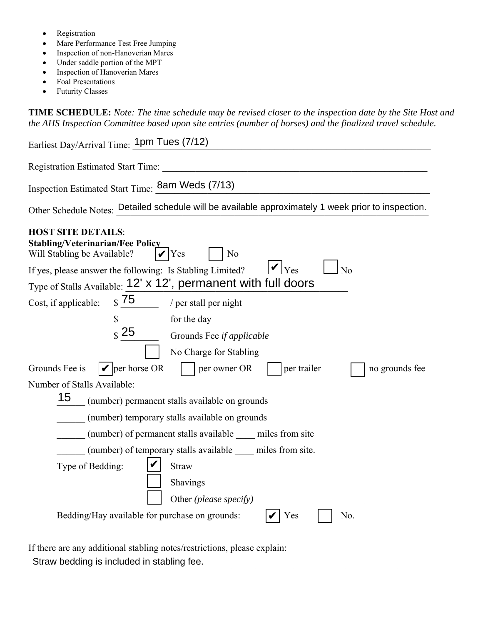- Registration
- Mare Performance Test Free Jumping
- Inspection of non-Hanoverian Mares
- Under saddle portion of the MPT
- Inspection of Hanoverian Mares
- Foal Presentations
- Futurity Classes

**TIME SCHEDULE:** *Note: The time schedule may be revised closer to the inspection date by the Site Host and the AHS Inspection Committee based upon site entries (number of horses) and the finalized travel schedule.* 

| Earliest Day/Arrival Time: 1pm Tues (7/12)                                                                                                                                                                                      |
|---------------------------------------------------------------------------------------------------------------------------------------------------------------------------------------------------------------------------------|
| Registration Estimated Start Time:                                                                                                                                                                                              |
| Inspection Estimated Start Time: 8am Weds (7/13)                                                                                                                                                                                |
| Other Schedule Notes: Detailed schedule will be available approximately 1 week prior to inspection.                                                                                                                             |
| <b>HOST SITE DETAILS:</b><br><b>Stabling/Veterinarian/Fee Policy</b><br>Will Stabling be Available?<br>Yes<br>N <sub>o</sub><br>$\mathbf{V}$ Yes<br>N <sub>o</sub><br>If yes, please answer the following: Is Stabling Limited? |
| Type of Stalls Available: 12' x 12', permanent with full doors                                                                                                                                                                  |
| $\frac{1}{2}$ 75<br>Cost, if applicable:<br>/ per stall per night                                                                                                                                                               |
| for the day<br>\$<br>$\frac{1}{\text{S}}$ 25<br>Grounds Fee if applicable<br>No Charge for Stabling                                                                                                                             |
| $  \mathbf{v}  $ per horse OR<br>Grounds Fee is<br>per owner OR<br>per trailer<br>no grounds fee                                                                                                                                |
| Number of Stalls Available:                                                                                                                                                                                                     |
| 15<br>(number) permanent stalls available on grounds                                                                                                                                                                            |
| (number) temporary stalls available on grounds                                                                                                                                                                                  |
| (number) of permanent stalls available miles from site                                                                                                                                                                          |
| (number) of temporary stalls available miles from site.                                                                                                                                                                         |
| Type of Bedding:<br>Straw                                                                                                                                                                                                       |
| Shavings                                                                                                                                                                                                                        |
| Other (please specify)                                                                                                                                                                                                          |
| Bedding/Hay available for purchase on grounds:<br>No.<br>Yes                                                                                                                                                                    |

If there are any additional stabling notes/restrictions, please explain: Straw bedding is included in stabling fee.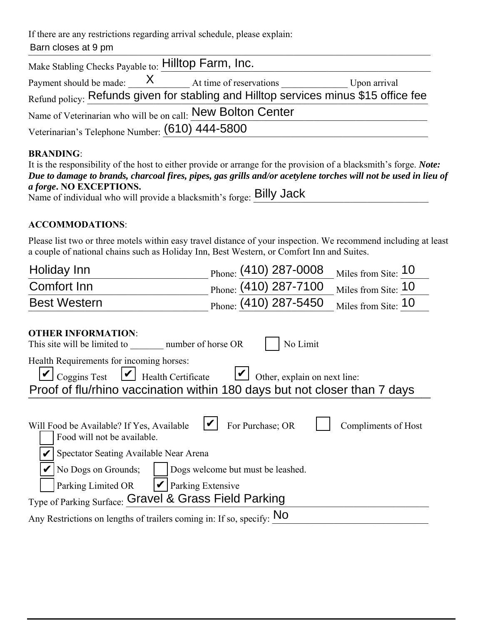If there are any restrictions regarding arrival schedule, please explain: Barn closes at 9 pm

| Make Stabling Checks Payable to: Hilltop Farm, Inc.                                  |  |                                                               |              |  |  |
|--------------------------------------------------------------------------------------|--|---------------------------------------------------------------|--------------|--|--|
|                                                                                      |  | Payment should be made: $\frac{X}{x}$ At time of reservations | Upon arrival |  |  |
| Refund policy: Refunds given for stabling and Hilltop services minus \$15 office fee |  |                                                               |              |  |  |
| Name of Veterinarian who will be on call: New Bolton Center                          |  |                                                               |              |  |  |
| Veterinarian's Telephone Number: (610) 444-5800                                      |  |                                                               |              |  |  |

## **BRANDING**:

| It is the responsibility of the host to either provide or arrange for the provision of a blacksmith's forge. <i>Note:</i> |
|---------------------------------------------------------------------------------------------------------------------------|
| Due to damage to brands, charcoal fires, pipes, gas grills and/or acetylene torches will not be used in lieu of           |
| <i>a forge.</i> NO EXCEPTIONS.                                                                                            |
| Name of individual who will provide a blacksmith's forge: Billy Jack                                                      |

### **ACCOMMODATIONS**:

Please list two or three motels within easy travel distance of your inspection. We recommend including at least a couple of national chains such as Holiday Inn, Best Western, or Comfort Inn and Suites.

| Holiday Inn                                                                                                                                                                                                                                                                                                                         | Phone: (410) 287-0008 | Miles from Site: 10 |  |  |
|-------------------------------------------------------------------------------------------------------------------------------------------------------------------------------------------------------------------------------------------------------------------------------------------------------------------------------------|-----------------------|---------------------|--|--|
| Comfort Inn                                                                                                                                                                                                                                                                                                                         | Phone: (410) 287-7100 | Miles from Site: 10 |  |  |
| <b>Best Western</b>                                                                                                                                                                                                                                                                                                                 | Phone: (410) 287-5450 | Miles from Site: 10 |  |  |
| <b>OTHER INFORMATION:</b><br>This site will be limited to number of horse OR                                                                                                                                                                                                                                                        | No Limit              |                     |  |  |
| Health Requirements for incoming horses:<br>$\cup$ Coggins Test<br>$\triangleright$ Health Certificate<br>Other, explain on next line:<br>Proof of flu/rhino vaccination within 180 days but not closer than 7 days                                                                                                                 |                       |                     |  |  |
| For Purchase; OR<br>Compliments of Host<br>Will Food be Available? If Yes, Available<br>Food will not be available.<br>Spectator Seating Available Near Arena<br>No Dogs on Grounds;<br>Dogs welcome but must be leashed.<br>$ V $ Parking Extensive<br>Parking Limited OR<br>Type of Parking Surface: Gravel & Grass Field Parking |                       |                     |  |  |
| Any Restrictions on lengths of trailers coming in: If so, specify: NO                                                                                                                                                                                                                                                               |                       |                     |  |  |